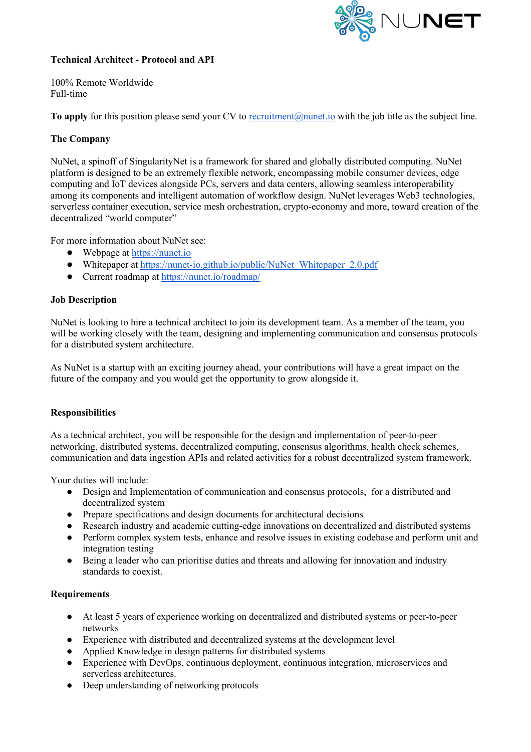

# **Technical Architect - Protocol and API**

100% Remote Worldwide Full-time

**To apply** for this position please send your CV to recruitment@nunet.io with the job title as the subject line.

# **The Company**

NuNet, a spinoff of SingularityNet is a framework for shared and globally distributed computing. NuNet platform is designed to be an extremely flexible network, encompassing mobile consumer devices, edge computing and IoT devices alongside PCs, servers and data centers, allowing seamless interoperability among its components and intelligent automation of workflow design. NuNet leverages Web3 technologies, serverless container execution, service mesh orchestration, crypto-economy and more, toward creation of the decentralized "world computer"

For more information about NuNet see:

- $\bullet$  Webpage at https://nunet.io
- Whitepaper at https://nunet-io.github.io/public/NuNet\_Whitepaper\_2.0.pdf
- Current roadmap at https://nunet.io/roadmap/

### **Job Description**

NuNet is looking to hire a technical architect to join its development team. As a member of the team, you will be working closely with the team, designing and implementing communication and consensus protocols for a distributed system architecture.

As NuNet is a startup with an exciting journey ahead, your contributions will have a great impact on the future of the company and you would get the opportunity to grow alongside it.

#### **Responsibilities**

As a technical architect, you will be responsible for the design and implementation of peer-to-peer networking, distributed systems, decentralized computing, consensus algorithms, health check schemes, communication and data ingestion APIs and related activities for a robust decentralized system framework.

Your duties will include:

- Design and Implementation of communication and consensus protocols, for a distributed and decentralized system
- Prepare specifications and design documents for architectural decisions
- Research industry and academic cutting-edge innovations on decentralized and distributed systems
- Perform complex system tests, enhance and resolve issues in existing codebase and perform unit and integration testing
- Being a leader who can prioritise duties and threats and allowing for innovation and industry standards to coexist.

#### **Requirements**

- At least 5 years of experience working on decentralized and distributed systems or peer-to-peer networks
- Experience with distributed and decentralized systems at the development level
- Applied Knowledge in design patterns for distributed systems
- Experience with DevOps, continuous deployment, continuous integration, microservices and serverless architectures.
- Deep understanding of networking protocols